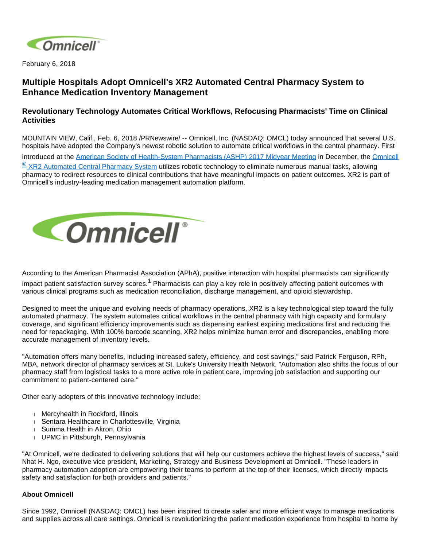

February 6, 2018

## **Multiple Hospitals Adopt Omnicell's XR2 Automated Central Pharmacy System to Enhance Medication Inventory Management**

## **Revolutionary Technology Automates Critical Workflows, Refocusing Pharmacists' Time on Clinical Activities**

MOUNTAIN VIEW, Calif., Feb. 6, 2018 /PRNewswire/ -- Omnicell, Inc. (NASDAQ: OMCL) today announced that several U.S. hospitals have adopted the Company's newest robotic solution to automate critical workflows in the central pharmacy. First introduced at the [American Society of Health-System Pharmacists \(ASHP\) 2017 Midyear Meeting](https://midyear17.ashp.org/) in December, the [Omnicell](https://www.omnicell.com/Products/Pharmacy_Automation/Robotic_Pharmacy_Systems/XR2_Automated_Central_Pharmacy_System.aspx) ® [XR2 Automated Central Pharmacy System](https://www.omnicell.com/Products/Pharmacy_Automation/Robotic_Pharmacy_Systems/XR2_Automated_Central_Pharmacy_System.aspx) utilizes robotic technology to eliminate numerous manual tasks, allowing pharmacy to redirect resources to clinical contributions that have meaningful impacts on patient outcomes. XR2 is part of Omnicell's industry-leading medication management automation platform.



According to the American Pharmacist Association (APhA), positive interaction with hospital pharmacists can significantly

impact patient satisfaction survey scores.<sup>1</sup> Pharmacists can play a key role in positively affecting patient outcomes with various clinical programs such as medication reconciliation, discharge management, and opioid stewardship.

Designed to meet the unique and evolving needs of pharmacy operations, XR2 is a key technological step toward the fully automated pharmacy. The system automates critical workflows in the central pharmacy with high capacity and formulary coverage, and significant efficiency improvements such as dispensing earliest expiring medications first and reducing the need for repackaging. With 100% barcode scanning, XR2 helps minimize human error and discrepancies, enabling more accurate management of inventory levels.

"Automation offers many benefits, including increased safety, efficiency, and cost savings," said Patrick Ferguson, RPh, MBA, network director of pharmacy services at St. Luke's University Health Network. "Automation also shifts the focus of our pharmacy staff from logistical tasks to a more active role in patient care, improving job satisfaction and supporting our commitment to patient-centered care."

Other early adopters of this innovative technology include:

- Mercyhealth in Rockford, Illinois
- Sentara Healthcare in Charlottesville, Virginia
- Summa Health in Akron, Ohio
- UPMC in Pittsburgh, Pennsylvania

"At Omnicell, we're dedicated to delivering solutions that will help our customers achieve the highest levels of success," said Nhat H. Ngo, executive vice president, Marketing, Strategy and Business Development at Omnicell. "These leaders in pharmacy automation adoption are empowering their teams to perform at the top of their licenses, which directly impacts safety and satisfaction for both providers and patients."

## **About Omnicell**

Since 1992, Omnicell (NASDAQ: OMCL) has been inspired to create safer and more efficient ways to manage medications and supplies across all care settings. Omnicell is revolutionizing the patient medication experience from hospital to home by